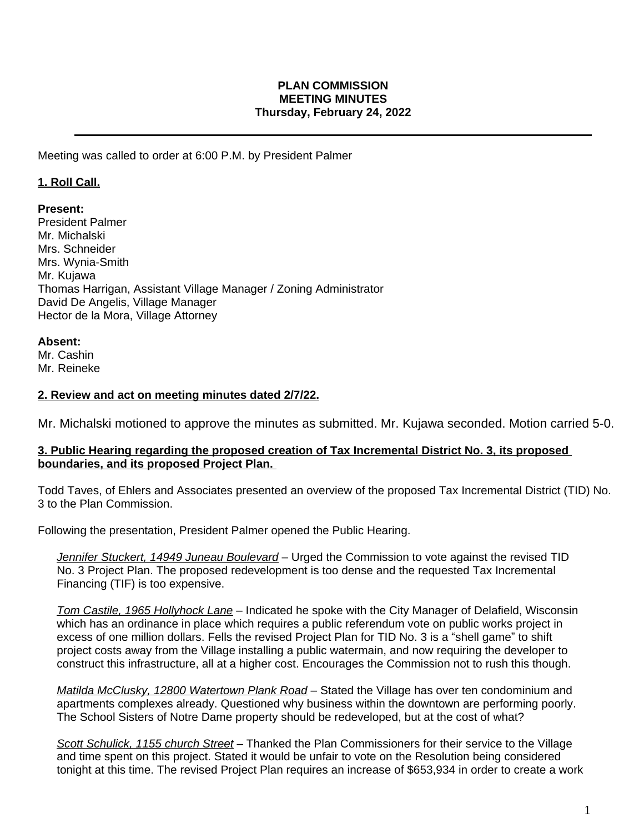## **PLAN COMMISSION MEETING MINUTES Thursday, February 24, 2022**

Meeting was called to order at 6:00 P.M. by President Palmer

## **1. Roll Call.**

### **Present:**

President Palmer Mr. Michalski Mrs. Schneider Mrs. Wynia-Smith Mr. Kujawa Thomas Harrigan, Assistant Village Manager / Zoning Administrator David De Angelis, Village Manager Hector de la Mora, Village Attorney

### **Absent:**

Mr. Cashin Mr. Reineke

### **2. Review and act on meeting minutes dated 2/7/22.**

Mr. Michalski motioned to approve the minutes as submitted. Mr. Kujawa seconded. Motion carried 5-0.

### **3. Public Hearing regarding the proposed creation of Tax Incremental District No. 3, its proposed boundaries, and its proposed Project Plan.**

Todd Taves, of Ehlers and Associates presented an overview of the proposed Tax Incremental District (TID) No. 3 to the Plan Commission.

Following the presentation, President Palmer opened the Public Hearing.

*Jennifer Stuckert, 14949 Juneau Boulevard –* Urged the Commission to vote against the revised TID No. 3 Project Plan. The proposed redevelopment is too dense and the requested Tax Incremental Financing (TIF) is too expensive.

*Tom Castile, 1965 Hollyhock Lane –* Indicated he spoke with the City Manager of Delafield, Wisconsin which has an ordinance in place which requires a public referendum vote on public works project in excess of one million dollars. Fells the revised Project Plan for TID No. 3 is a "shell game" to shift project costs away from the Village installing a public watermain, and now requiring the developer to construct this infrastructure, all at a higher cost. Encourages the Commission not to rush this though.

*Matilda McClusky, 12800 Watertown Plank Road* – Stated the Village has over ten condominium and apartments complexes already. Questioned why business within the downtown are performing poorly. The School Sisters of Notre Dame property should be redeveloped, but at the cost of what?

*Scott Schulick, 1155 church Street* – Thanked the Plan Commissioners for their service to the Village and time spent on this project. Stated it would be unfair to vote on the Resolution being considered tonight at this time. The revised Project Plan requires an increase of \$653,934 in order to create a work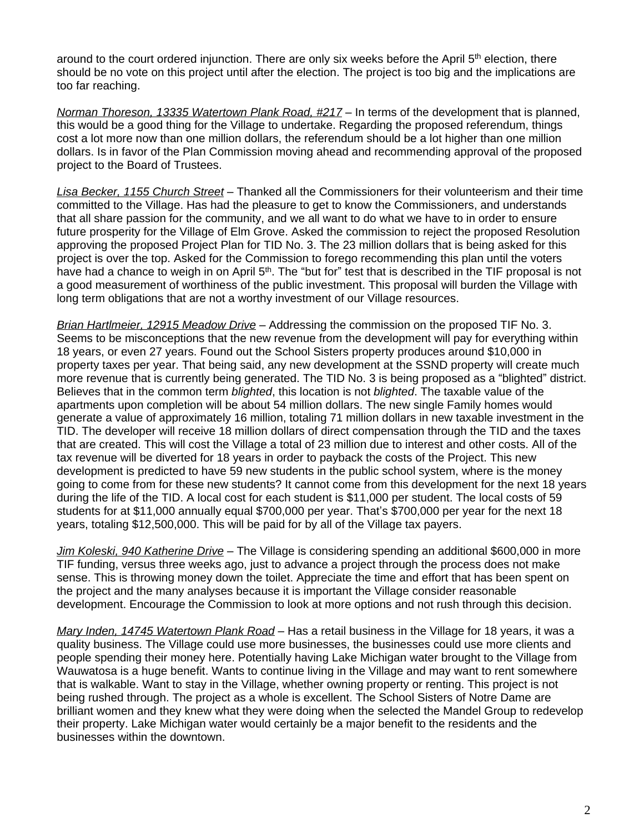around to the court ordered injunction. There are only six weeks before the April 5<sup>th</sup> election, there should be no vote on this project until after the election. The project is too big and the implications are too far reaching.

*Norman Thoreson, 13335 Watertown Plank Road, #217* – In terms of the development that is planned, this would be a good thing for the Village to undertake. Regarding the proposed referendum, things cost a lot more now than one million dollars, the referendum should be a lot higher than one million dollars. Is in favor of the Plan Commission moving ahead and recommending approval of the proposed project to the Board of Trustees.

*Lisa Becker, 1155 Church Street* – Thanked all the Commissioners for their volunteerism and their time committed to the Village. Has had the pleasure to get to know the Commissioners, and understands that all share passion for the community, and we all want to do what we have to in order to ensure future prosperity for the Village of Elm Grove. Asked the commission to reject the proposed Resolution approving the proposed Project Plan for TID No. 3. The 23 million dollars that is being asked for this project is over the top. Asked for the Commission to forego recommending this plan until the voters have had a chance to weigh in on April 5<sup>th</sup>. The "but for" test that is described in the TIF proposal is not a good measurement of worthiness of the public investment. This proposal will burden the Village with long term obligations that are not a worthy investment of our Village resources.

*Brian Hartlmeier, 12915 Meadow Drive* – Addressing the commission on the proposed TIF No. 3. Seems to be misconceptions that the new revenue from the development will pay for everything within 18 years, or even 27 years. Found out the School Sisters property produces around \$10,000 in property taxes per year. That being said, any new development at the SSND property will create much more revenue that is currently being generated. The TID No. 3 is being proposed as a "blighted" district. Believes that in the common term *blighted*, this location is not *blighted*. The taxable value of the apartments upon completion will be about 54 million dollars. The new single Family homes would generate a value of approximately 16 million, totaling 71 million dollars in new taxable investment in the TID. The developer will receive 18 million dollars of direct compensation through the TID and the taxes that are created. This will cost the Village a total of 23 million due to interest and other costs. All of the tax revenue will be diverted for 18 years in order to payback the costs of the Project. This new development is predicted to have 59 new students in the public school system, where is the money going to come from for these new students? It cannot come from this development for the next 18 years during the life of the TID. A local cost for each student is \$11,000 per student. The local costs of 59 students for at \$11,000 annually equal \$700,000 per year. That's \$700,000 per year for the next 18 years, totaling \$12,500,000. This will be paid for by all of the Village tax payers.

*Jim Koleski, 940 Katherine Drive* – The Village is considering spending an additional \$600,000 in more TIF funding, versus three weeks ago, just to advance a project through the process does not make sense. This is throwing money down the toilet. Appreciate the time and effort that has been spent on the project and the many analyses because it is important the Village consider reasonable development. Encourage the Commission to look at more options and not rush through this decision.

*Mary Inden, 14745 Watertown Plank Road* – Has a retail business in the Village for 18 years, it was a quality business. The Village could use more businesses, the businesses could use more clients and people spending their money here. Potentially having Lake Michigan water brought to the Village from Wauwatosa is a huge benefit. Wants to continue living in the Village and may want to rent somewhere that is walkable. Want to stay in the Village, whether owning property or renting. This project is not being rushed through. The project as a whole is excellent. The School Sisters of Notre Dame are brilliant women and they knew what they were doing when the selected the Mandel Group to redevelop their property. Lake Michigan water would certainly be a major benefit to the residents and the businesses within the downtown.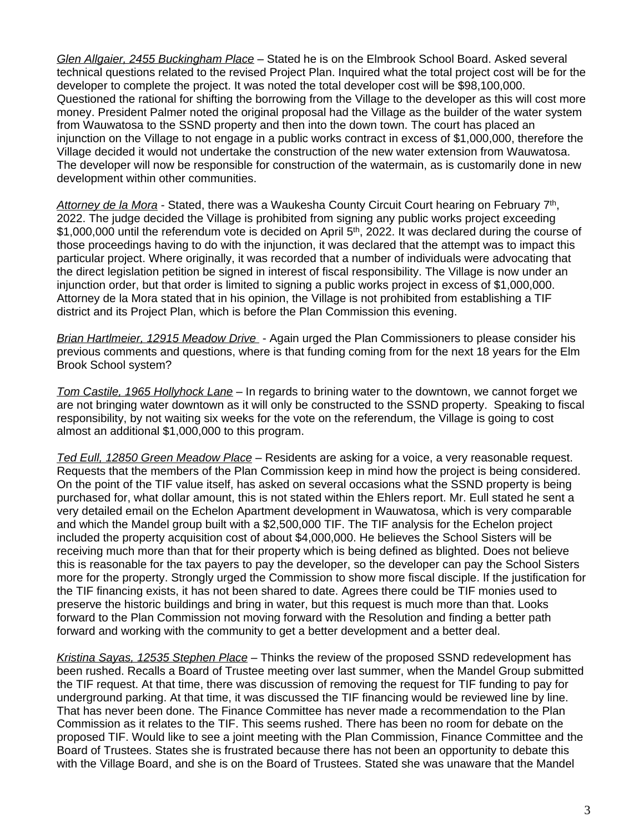*Glen Allgaier, 2455 Buckingham Place* – Stated he is on the Elmbrook School Board. Asked several technical questions related to the revised Project Plan. Inquired what the total project cost will be for the developer to complete the project. It was noted the total developer cost will be \$98,100,000. Questioned the rational for shifting the borrowing from the Village to the developer as this will cost more money. President Palmer noted the original proposal had the Village as the builder of the water system from Wauwatosa to the SSND property and then into the down town. The court has placed an injunction on the Village to not engage in a public works contract in excess of \$1,000,000, therefore the Village decided it would not undertake the construction of the new water extension from Wauwatosa. The developer will now be responsible for construction of the watermain, as is customarily done in new development within other communities.

Attorney de la Mora - Stated, there was a Waukesha County Circuit Court hearing on February 7<sup>th</sup>, 2022. The judge decided the Village is prohibited from signing any public works project exceeding \$1,000,000 until the referendum vote is decided on April 5<sup>th</sup>, 2022. It was declared during the course of those proceedings having to do with the injunction, it was declared that the attempt was to impact this particular project. Where originally, it was recorded that a number of individuals were advocating that the direct legislation petition be signed in interest of fiscal responsibility. The Village is now under an injunction order, but that order is limited to signing a public works project in excess of \$1,000,000. Attorney de la Mora stated that in his opinion, the Village is not prohibited from establishing a TIF district and its Project Plan, which is before the Plan Commission this evening.

*Brian Hartlmeier, 12915 Meadow Drive* - Again urged the Plan Commissioners to please consider his previous comments and questions, where is that funding coming from for the next 18 years for the Elm Brook School system?

*Tom Castile, 1965 Hollyhock Lane* – In regards to brining water to the downtown, we cannot forget we are not bringing water downtown as it will only be constructed to the SSND property. Speaking to fiscal responsibility, by not waiting six weeks for the vote on the referendum, the Village is going to cost almost an additional \$1,000,000 to this program.

*Ted Eull, 12850 Green Meadow Place* – Residents are asking for a voice, a very reasonable request. Requests that the members of the Plan Commission keep in mind how the project is being considered. On the point of the TIF value itself, has asked on several occasions what the SSND property is being purchased for, what dollar amount, this is not stated within the Ehlers report. Mr. Eull stated he sent a very detailed email on the Echelon Apartment development in Wauwatosa, which is very comparable and which the Mandel group built with a \$2,500,000 TIF. The TIF analysis for the Echelon project included the property acquisition cost of about \$4,000,000. He believes the School Sisters will be receiving much more than that for their property which is being defined as blighted. Does not believe this is reasonable for the tax payers to pay the developer, so the developer can pay the School Sisters more for the property. Strongly urged the Commission to show more fiscal disciple. If the justification for the TIF financing exists, it has not been shared to date. Agrees there could be TIF monies used to preserve the historic buildings and bring in water, but this request is much more than that. Looks forward to the Plan Commission not moving forward with the Resolution and finding a better path forward and working with the community to get a better development and a better deal.

*Kristina Sayas, 12535 Stephen Place* – Thinks the review of the proposed SSND redevelopment has been rushed. Recalls a Board of Trustee meeting over last summer, when the Mandel Group submitted the TIF request. At that time, there was discussion of removing the request for TIF funding to pay for underground parking. At that time, it was discussed the TIF financing would be reviewed line by line. That has never been done. The Finance Committee has never made a recommendation to the Plan Commission as it relates to the TIF. This seems rushed. There has been no room for debate on the proposed TIF. Would like to see a joint meeting with the Plan Commission, Finance Committee and the Board of Trustees. States she is frustrated because there has not been an opportunity to debate this with the Village Board, and she is on the Board of Trustees. Stated she was unaware that the Mandel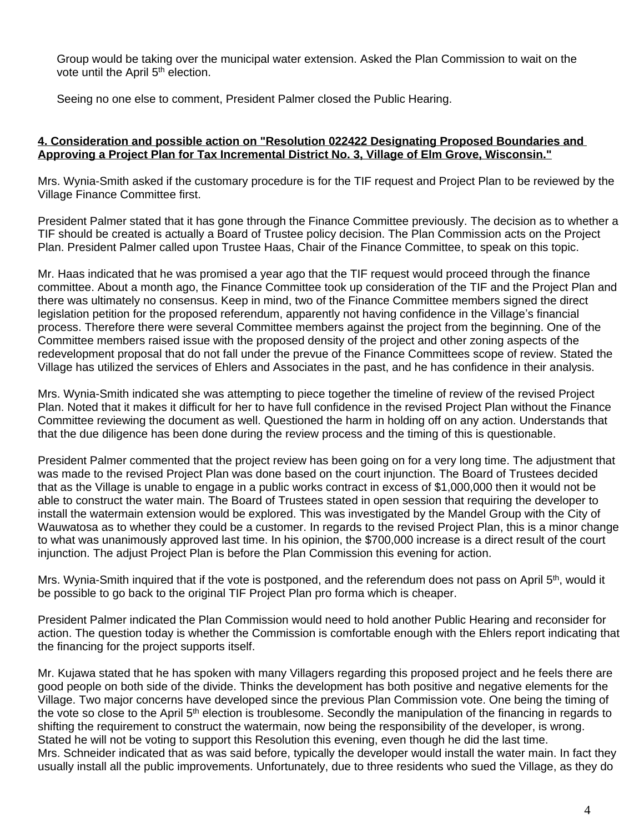Group would be taking over the municipal water extension. Asked the Plan Commission to wait on the vote until the April 5<sup>th</sup> election.

Seeing no one else to comment, President Palmer closed the Public Hearing.

## **4. Consideration and possible action on "Resolution 022422 Designating Proposed Boundaries and Approving a Project Plan for Tax Incremental District No. 3, Village of Elm Grove, Wisconsin."**

Mrs. Wynia-Smith asked if the customary procedure is for the TIF request and Project Plan to be reviewed by the Village Finance Committee first.

President Palmer stated that it has gone through the Finance Committee previously. The decision as to whether a TIF should be created is actually a Board of Trustee policy decision. The Plan Commission acts on the Project Plan. President Palmer called upon Trustee Haas, Chair of the Finance Committee, to speak on this topic.

Mr. Haas indicated that he was promised a year ago that the TIF request would proceed through the finance committee. About a month ago, the Finance Committee took up consideration of the TIF and the Project Plan and there was ultimately no consensus. Keep in mind, two of the Finance Committee members signed the direct legislation petition for the proposed referendum, apparently not having confidence in the Village's financial process. Therefore there were several Committee members against the project from the beginning. One of the Committee members raised issue with the proposed density of the project and other zoning aspects of the redevelopment proposal that do not fall under the prevue of the Finance Committees scope of review. Stated the Village has utilized the services of Ehlers and Associates in the past, and he has confidence in their analysis.

Mrs. Wynia-Smith indicated she was attempting to piece together the timeline of review of the revised Project Plan. Noted that it makes it difficult for her to have full confidence in the revised Project Plan without the Finance Committee reviewing the document as well. Questioned the harm in holding off on any action. Understands that that the due diligence has been done during the review process and the timing of this is questionable.

President Palmer commented that the project review has been going on for a very long time. The adjustment that was made to the revised Project Plan was done based on the court injunction. The Board of Trustees decided that as the Village is unable to engage in a public works contract in excess of \$1,000,000 then it would not be able to construct the water main. The Board of Trustees stated in open session that requiring the developer to install the watermain extension would be explored. This was investigated by the Mandel Group with the City of Wauwatosa as to whether they could be a customer. In regards to the revised Project Plan, this is a minor change to what was unanimously approved last time. In his opinion, the \$700,000 increase is a direct result of the court injunction. The adjust Project Plan is before the Plan Commission this evening for action.

Mrs. Wynia-Smith inquired that if the vote is postponed, and the referendum does not pass on April 5<sup>th</sup>, would it be possible to go back to the original TIF Project Plan pro forma which is cheaper.

President Palmer indicated the Plan Commission would need to hold another Public Hearing and reconsider for action. The question today is whether the Commission is comfortable enough with the Ehlers report indicating that the financing for the project supports itself.

Mr. Kujawa stated that he has spoken with many Villagers regarding this proposed project and he feels there are good people on both side of the divide. Thinks the development has both positive and negative elements for the Village. Two major concerns have developed since the previous Plan Commission vote. One being the timing of the vote so close to the April 5th election is troublesome. Secondly the manipulation of the financing in regards to shifting the requirement to construct the watermain, now being the responsibility of the developer, is wrong. Stated he will not be voting to support this Resolution this evening, even though he did the last time. Mrs. Schneider indicated that as was said before, typically the developer would install the water main. In fact they usually install all the public improvements. Unfortunately, due to three residents who sued the Village, as they do